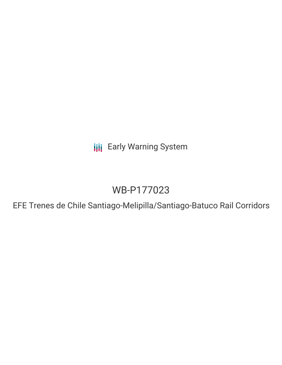**III** Early Warning System

# WB-P177023

EFE Trenes de Chile Santiago-Melipilla/Santiago-Batuco Rail Corridors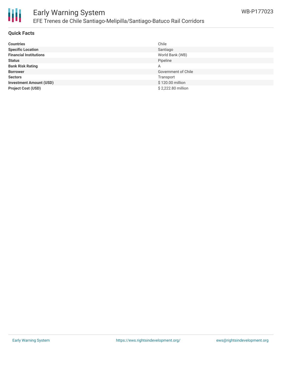

### Early Warning System EFE Trenes de Chile Santiago-Melipilla/Santiago-Batuco Rail Corridors

#### **Quick Facts**

| <b>Countries</b>               | Chile               |
|--------------------------------|---------------------|
| <b>Specific Location</b>       | Santiago            |
| <b>Financial Institutions</b>  | World Bank (WB)     |
| <b>Status</b>                  | Pipeline            |
| <b>Bank Risk Rating</b>        | Α                   |
| <b>Borrower</b>                | Government of Chile |
| <b>Sectors</b>                 | Transport           |
| <b>Investment Amount (USD)</b> | \$120.00 million    |
| <b>Project Cost (USD)</b>      | \$2,222.80 million  |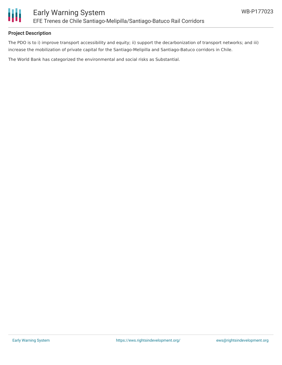

#### **Project Description**

The PDO is to i) improve transport accessibility and equity; ii) support the decarbonization of transport networks; and iii) increase the mobilization of private capital for the Santiago-Melipilla and Santiago-Batuco corridors in Chile.

The World Bank has categorized the environmental and social risks as Substantial.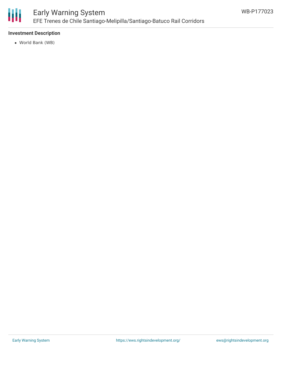

# Early Warning System EFE Trenes de Chile Santiago-Melipilla/Santiago-Batuco Rail Corridors

### **Investment Description**

World Bank (WB)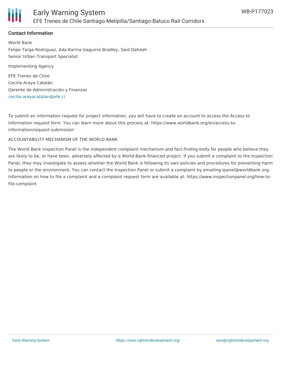

### **Contact Information**

World Bank Felipe Targa Rodriguez, Ada Karina Izaguirre Bradley, Said Dahdah Senior Urban Transport Specialist

Implementing Agency

EFE Trenes de Chile Cecilia Araya Catalán Gerente de Administración y Finanzas [cecilia.arayacatalan@efe.cl](mailto:cecilia.arayacatalan@efe.cl)

To submit an information request for project information, you will have to create an account to access the Access to Information request form. You can learn more about this process at: https://www.worldbank.org/en/access-toinformation/request-submission

#### ACCOUNTABILITY MECHANISM OF THE WORLD BANK

The World Bank Inspection Panel is the independent complaint mechanism and fact-finding body for people who believe they are likely to be, or have been, adversely affected by a World Bank-financed project. If you submit a complaint to the Inspection Panel, they may investigate to assess whether the World Bank is following its own policies and procedures for preventing harm to people or the environment. You can contact the Inspection Panel or submit a complaint by emailing ipanel@worldbank.org. Information on how to file a complaint and a complaint request form are available at: https://www.inspectionpanel.org/how-tofile-complaint